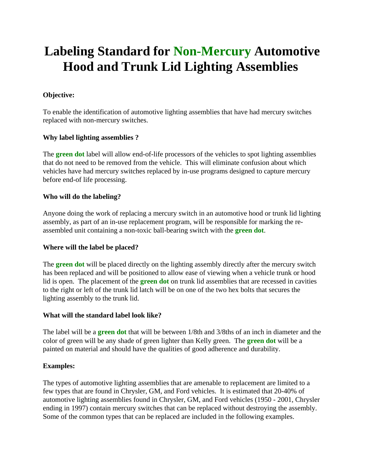# **Labeling Standard for Non-Mercury Automotive Hood and Trunk Lid Lighting Assemblies**

## **Objective:**

To enable the identification of automotive lighting assemblies that have had mercury switches replaced with non-mercury switches.

### **Why label lighting assemblies ?**

The **green dot** label will allow end-of-life processors of the vehicles to spot lighting assemblies that do not need to be removed from the vehicle. This will eliminate confusion about which vehicles have had mercury switches replaced by in-use programs designed to capture mercury before end-of life processing.

#### **Who will do the labeling?**

Anyone doing the work of replacing a mercury switch in an automotive hood or trunk lid lighting assembly, as part of an in-use replacement program, will be responsible for marking the reassembled unit containing a non-toxic ball-bearing switch with the **green dot**.

#### **Where will the label be placed?**

The **green dot** will be placed directly on the lighting assembly directly after the mercury switch has been replaced and will be positioned to allow ease of viewing when a vehicle trunk or hood lid is open. The placement of the **green dot** on trunk lid assemblies that are recessed in cavities to the right or left of the trunk lid latch will be on one of the two hex bolts that secures the lighting assembly to the trunk lid.

#### **What will the standard label look like?**

The label will be a **green dot** that will be between 1/8th and 3/8ths of an inch in diameter and the color of green will be any shade of green lighter than Kelly green. The **green dot** will be a painted on material and should have the qualities of good adherence and durability.

#### **Examples:**

The types of automotive lighting assemblies that are amenable to replacement are limited to a few types that are found in Chrysler, GM, and Ford vehicles. It is estimated that 20-40% of automotive lighting assemblies found in Chrysler, GM, and Ford vehicles (1950 - 2001, Chrysler ending in 1997) contain mercury switches that can be replaced without destroying the assembly. Some of the common types that can be replaced are included in the following examples.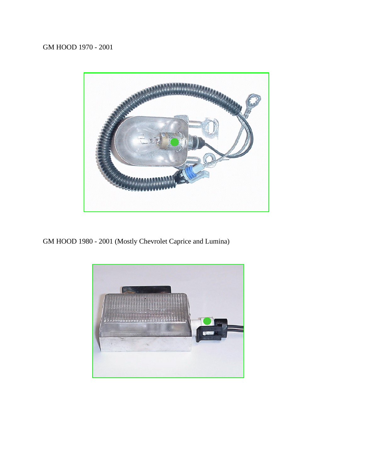

GM HOOD 1980 - 2001 (Mostly Chevrolet Caprice and Lumina)